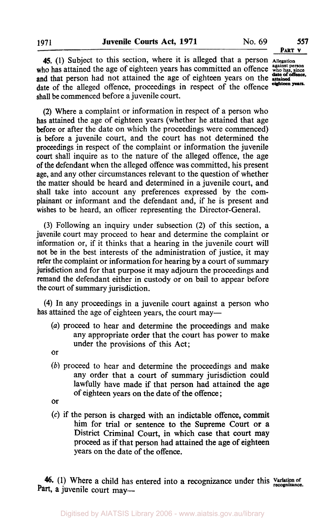**45.** (1) Subject to this section, where it is alleged that a person **Allegation**  who has attained the age of eighteen years has committed an offence  $\frac{q_{\text{max}}}{q_{\text{max}}}$  person and that person had not attained the age of eighteen years on the **attained date of offence,**  date of the alleged offence, proceedings in respect of the offence shall be commenced before a juvenile court. **eighteen years.** 

(2) Where a complaint or information in respect of a person who has attained the age of eighteen years (whether he attained that age before or after the date on which the proceedings were commenced) is before a juvenile court, and the court has not determined the proceedings in respect of the complaint or information the juvenile **court** shall inquire as to the nature of the alleged offence, the age **of** the defendant when the alleged offence was committed, his present age, and any other circumstances relevant to the question of whether the matter should be heard and determined in a juvenile court, and shall take into account any preferences expressed by the complainant or informant and the defendant and, if he is present and wishes to be heard, an officer representing the Director-General.

**(3)** Following an inquiry under subsection **(2)** of this section, a juvenile court may proceed to hear and determine the complaint or information or, if it thinks that a hearing in the juvenile court will not be in the best interests of the administration of justice, it may refer the complaint or information for hearing by a court of summary jurisdiction and for that purpose it may adjourn the proceedings and remand the defendant either in custody or on bail to appear before the court of summary jurisdiction.

**(4)** In any proceedings in a juvenile court against a person who has attained the age of eighteen years, the court may—

*(a)* proceed to hear and determine the proceedings and make any appropriate order that the court has power to make under the provisions of this Act;

or

- *(b)* proceed to hear and determine the proceedings and make any order that a court **of** summary jurisdiction could lawfully have made **if** that person had attained the age of eighteen years on the date of the offence;
- or
- **(c)** if the person **is** charged with an indictable offence, commit him for trial or sentence to the Supreme Court **or** a District Criminal Court, in which case that court may proceed **as** if that person had attained the age **of** eighteen years on the date of the offence.

46. (1) Where a child has entered into a recognizance under this variation of Part, a juvenile court may-

**PART V**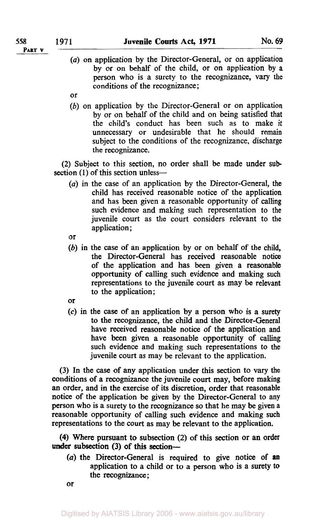**PART v** 

- (a) on application by the Director-General, or on application by or on behalf of the child, or on application by a person who is a surety to the recognizance, vary the conditions of the recognizance;
- or
- (b) on application by the Director-General or on application by or on behalf of the child and on being satisfied that the child's conduct has been such as to make it unnecessary or undesirable that he should remain subject to the conditions of the recognizance, discharge the recognizance.

(2) Subject to this section, no order shall be made under **sub**  section (1) of this section unless-

*(a)* in the case of an application by the Director-General, the child has received reasonable notice of the application and has been given a reasonable opportunity of calling such evidence and making such representation to the juvenile court as the court considers relevant to the application ;

or

- *(b)* in the case of an application by or on behalf of the child, the Director-General has received reasonable notice of the application and has been given a reasonable opportunity of calling such evidence and making such representations to the juvenile court as may be relevant to the application;
- **or**
- *(c)* in the case of an application by a person who is a **surety**  to the recognizance, the child and the Director-General have received reasonable notice of the application and have been given a reasonable opportunity of calling such evidence and making such representations to the juvenile court as may be relevant to the application.

(3) In the case of any application under this section to vary the conditions of a recognizance the juvenile court may, before making an order, and in the exercise of its discretion, order that reasonable notice of the application be given by the Director-General to any person who is a surety to the recognizance so that he may be given a reasonable opportunity of calling such evidence and making such representations to the court as may be relevant to the application.

**(4)** Where pursuant to subsection (2) of this section or an order under subsection (3) of this section---

 $(a)$  the Director-General is required to give notice of an application to a child or to a person who is a surety to the recognizance;

or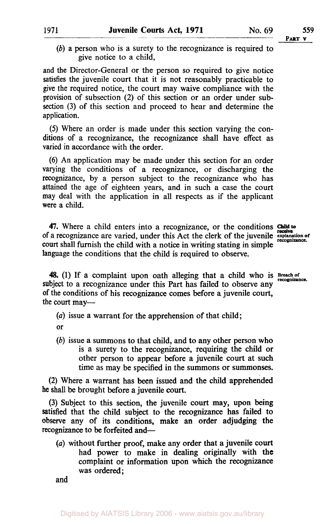(b) a person who is a surety to the recognizance is required to give notice to a child,

and the Director-General or the person so required to give notice satisfies the juvenile court that it is not reasonably practicable to give the required notice, the court may waive compliance with the provision of subsection (2) of this section or an order under subsection (3) of this section and proceed to hear and determine the application.

*(5)* Where an order is made under this section varying the conditions of a recognizance, the recognizance shall have effect as varied in accordance with the order.

(6) An application may be made under this section for an order varying the conditions of a recognizance, or discharging the recognizance, by a person subject to the recognizance who has attained the age of eighteen years, and in such a case the court may deal with the application in all respects as if the applicant were a child.

**47.** Where a child enters into a recognizance, or the conditions of a recognizance are varied, under this Act the clerk of the juvenile **explanation of recognizance**  court shall furnish the child with a notice in writing stating in simple language the conditions that the child is required to observe.

48. (1) If a complaint upon oath alleging that a child who is  $B_{\text{recognizance}}$ subject to a recognizance under this Part has failed to observe any of the conditions of his recognizance comes before a juvenile court, the court may—

*(a)* issue a warrant for the apprehension of that child;

or

(b) issue a summons to that child, and to any other person who is a surety to the recognizance, requiring the child or other person to appear before a juvenile court at such time as may be specified in the summons or summonses.

(2) Where a warrant has been issued and the child apprehended he shall be brought before a juvenile court.

(3) Subject to this section, the juvenile court may, upon being satisfied that the child subject to the recognizance has failed to observe any of its conditions, make an order adjudging the recognizance to be forfeited and-

*(a)* without further proof, make any order that a juvenile court had power to make in dealing originally with the complaint or information upon which the recognizance was ordered;

and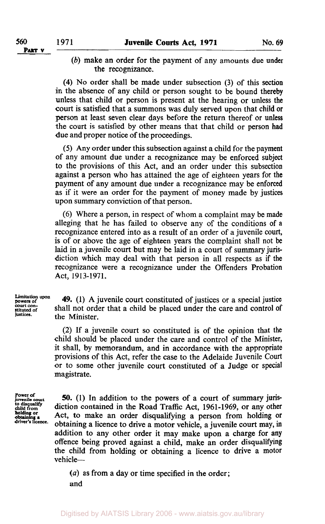- **PART v**
- *(b)* make an order for the payment of any amounts due under the recognizance.

**(4)** No order shall be made under subsection **(3)** of this **section**  in the absence of any child or person sought to be bound thereby unless that child or person is present at the hearing or unless the court is satisfied that a summons was duly served upon that child or person at least seven clear days before the return thereof or unless the court is satisfied by other means that that child or person had due and proper notice of the proceedings.

*(5)* Any order under this subsection against a child for the payment of any amount due under a recognizance may be enforced subject to the provisions of this Act, and an order under this subsection against a person who has attained the age of eighteen years for the payment of any amount due under a recognizance may be enforced as if it were an order for the payment of money made by justices upon summary conviction of that person.

(6) Where a person, in respect of whom a complaint may be made alleging that he has failed to observe any of the conditions of a recognizance entered into as a result of an order of a juvenile court, is of or above the age of eighteen years the complaint shall not be laid in a juvenile court but may be laid in a court of summary jurisdiction which may deal with that person in all respects as if the recognizance were a recognizance under the Offenders Probation Act, 1913-1971.

**Limitation upon powers of** court **con-stituted of justices.** 

**49. (1)** A juvenile court constituted of justices or a special justice shall not order that a child be placed under the care and control of the Minister.

**(2)** If a juvenile court so constituted is of the opinion that the child should be placed under the care and control of the Minister, it shall, by memorandum, and in accordance with the appropriate provisions of this Act, refer the case to the Adelaide Juvenile Court or to some other juvenile court constituted of a Judge or special magistrate.

**Power of<br>juvenile court<br>to disqualify<br>child from obtaining a holding or driver's Iicence.** 

*50.* (I) In addition to the powers of a court of summary **juris**diction contained in the Road Traffic Act, **1961-1969,** or any other Act, to make an order disqualifying a person from holding or obtaining a licence to drive a motor vehicle, a juvenile court may, **in**  addition to any other order it may make upon a charge for any offence being proved against a child, make an order disqualifying the child from holding or obtaining a licence to drive a motor vehicle-

*(a)* as from a day or time specified in the order;

and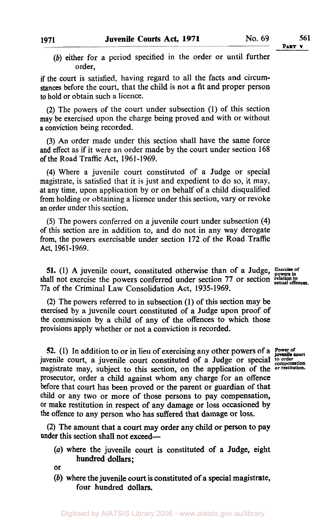*(b)* either for a period specified in the order or until further order,

if the court is satisfied, having regard to all the facts and circumstances before the court, that the child is not a fit and proper person to hold or obtain such a licence.

**(2)** The powers of the court under subsection (1) of this section may be exercised upon the charge being proved and with or without a conviction being recorded.

**(3)** An order made under this section shall have the same force and effect **as** if it were an order made by the court under section 168 of the Road Traffic Act, 1961-1969.

**(4)** Where a juvenile court constituted of a Judge or special magistrate, is satisfied that it is just and expedient to do so, it may, at any time, upon application by or on behalf of a child disqualified from holding or obtaining a licence under this section, vary or revoke an order under this section.

*(5)* The powers conferred on a juvenile court under subsection **(4)**  of this section are in addition to, and do not in any way derogate from, the powers exercisable under section 172 of the Road Traffic **Act,** 1961-1969.

**51.** (1) A juvenile court, constituted otherwise than of a Judge, **Exercise** of  $\frac{1}{3}$  shall not exercise the powers conferred under section 77 or section section of  $\frac{1}{3}$ 77a of the Criminal Law Consolidation Act, 1935-1969.

**(2)** The powers referred to in subsection **(1)** of this section may be exercised by a juvenile court constituted of a Judge upon proof **of**  the commission by a child of any of the offences to which those provisions apply whether or not a conviction is recorded.

52. (1) In addition to or in lieu of exercising any other powers of a **Power of** *power* of *power of power of power of power of power of a power of a power of a power of a power of a power of a pow* juvenile court, a juvenile court constituted **of** a Judge or special **to order compensation**  magistrate may, subject to this section, on the application of the **or restitution.**  prosecutor, order a child against whom any charge for an offence before that court has been proved or the parent **or** guardian of that child or any two or more of those persons to pay compensation, or make restitution in respect **of** any damage or loss occasioned by the offence to any person who has suffered that damage or **loss.** 

**(2)** The amount that a court may order any child or person to pay under this section shall not exceed-

*(a)* where the juvenile court is constituted **of** a Judge, eight hundred dollars;

or

*(b)* where the juvenile court is constituted **of** a special magistrate, four hundred dollars.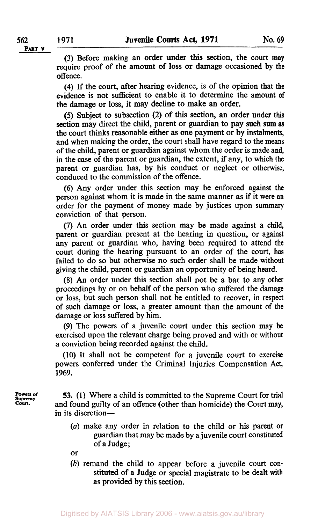(3) Before making an order under this section, the court may require proof of the amount of loss or damage occasioned by the offence.

**(4)** If the court, after hearing evidence, is of the opinion that the evidence is not sufficient to enable it to determine the amount of the damage or loss, it may decline to make an order.

(5) Subject to subsection (2) of this section, an order under this section may direct the child, parent or guardian to pay such **sum as**  the court thinks reasonable either as one payment or by instalments, and when making the order, the court shall have regard to the means of the child, parent or guardian against whom the order is made and, in the case of the parent or guardian, the extent, if any, to which the parent or guardian has, by his conduct or neglect or otherwise, conduced to the commission of the offence.

**(6)** Any order under this section may be enforced against the person against whom it is made in the same manner as if it were an order for the payment of money made by justices upon summary conviction of that person.

**(7)** An order under this section may be made against a child, parent or guardian present at the hearing in question, or against any parent or guardian who, having been required to attend the court during the hearing pursuant to an order of the court, has failed to do so but otherwise no such order shall be made without giving the child, parent or guardian an opportunity of being heard.

(8) An order under this section shall not be a bar to any other proceedings by or on behalf of the person who suffered the damage or loss, but such person shall not be entitled to recover, in respect of such damage or loss, a greater amount than the amount of the damage or loss suffered by him.

**(9)** The powers of a juvenile court under this section may be exercised upon the relevant charge being proved and with or without a conviction being recorded against the child.

**(10)** It shall not be competent for a juvenile court to exercise powers conferred under the Criminal Injuries Compensation Act, **1969.** 

**53.** (1) Where a child is committed to the Supreme Court for trial and found guilty of an offence (other than homicide) the Court may, in its discretion-

- (a) make any order in relation to the child or his parent or guardian that may be made by a juvenile court constituted of a Judge;
- or

**Supreme Court.** 

Powers of

*(b)* remand the child to appear before a juvenile court constituted **of** a Judge or special magistrate to be dealt with as provided by this section.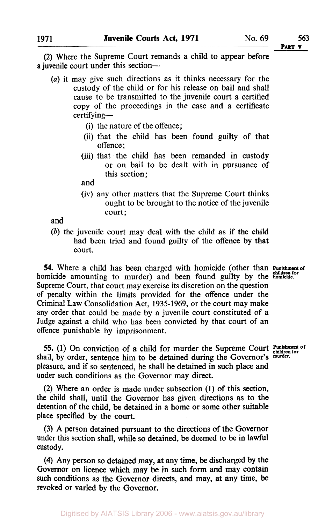**(2)** Where the Supreme Court remands a child to appear before a juvenile court under this section-

- *(a)* it may give such directions as it thinks necessary for the custody **of** the child or for his release on bail and shall cause to be transmitted to the juvenile court a certified copy of the proceedings in the case and a certificate certifying-
	- (i) the nature of the offence;
	- (ii) that the child has been found guilty of that offence;
	- (iii) that the child has been remanded in custody or on bail to be dealt with in pursuance of this section;

and

(iv) any other matters that the Supreme Court thinks ought to be brought to the notice of the juvenile court;

and

*(b)* the juvenile court may deal with the child as if the child had been tried and found guilty of the offence by that court.

**54.** Where a child has been charged with homicide (other than Punishment of homicide amounting to murder) and been found guilty by the **homicide**. Supreme Court, that court may exercise its discretion on the question of penalty within the limits provided for the offence under the Criminal Law Consolidation Act, **1935-1969,** or the court may make any order that could be made by a juvenile court constituted of a Judge against a child who has been convicted by that court of an offence punishable by imprisonment.

*55.* (1) On conviction of a child for murder the Supreme Court **Punishment of children for**  shall, by order, sentence him to be detained during the Governor's murder. pleasure, and if so sentenced, he shall be detained in such place and under such conditions as the Governor may direct.

**(2)** Where an order is made under subsection **(1) of** this section, the child shall, until the Governor has given directions as to the detention of the child, be detained in a home or some other suitable place specified by the court.

(3) **A** person detained pursuant to the directions of the Governor under this section shall, while so detained, be deemed to be in lawful custody.

**(4)** Any person *so* detained may, at any time, be discharged by the Governor on licence which may be in **such** form and may contain such conditions as the Governor directs, and may, at any time, be revoked or varied by the Governor.

**PART v**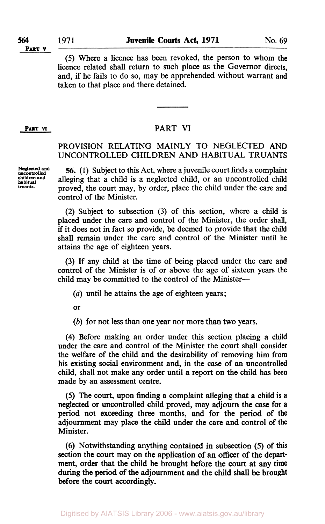(5) Where a licence has been revoked, the person to whom the licence related shall return to such place as the Governor directs, and, if he fails to do so, may be apprehended without warrant and taken to that place and there detained.

## **PART VI PART VI**

## PROVISION RELATING MAINLY TO NEGLECTED AND UNCONTROLLED CHILDREN AND HABITUAL TRUANTS

*56.* **(1)** Subject to this Act, where a juvenile court finds a complaint alleging that a child is a neglected child, or an uncontrolled child proved, the court may, by order, place the child under the care and control of the Minister.

(2) Subject to subsection (3) of this section, where a child is placed under the care and control of the Minister, the order shall, if it does not in fact so provide, be deemed to provide that the child shall remain under the care and control of the Minister until he attains the age of eighteen years.

(3) If any child at the time of being placed under the care and control of the Minister is of or above the age of sixteen years the child may be committed to the control of the Minister-

*(a)* until he attains the age of eighteen years;

or

*(b)* for not less than one year nor more than two years.

**(4)** Before making an order under this section placing a child under the care and control of the Minister the court shall consider the welfare of the child and the desirability of removing him from his existing social environment and, in the case of an uncontrolled child, shall not make any order until a report on the child has **been**  made by an assessment centre.

(5) The court, upon finding a complaint alleging that a child is a neglected or uncontrolled child proved, may adjourn the case for a period not exceeding three months, and for the period of the adjournment may place the child under the care and control of the Minister.

(6) Notwithstanding anything contained in subsection (5) of this section the court may on the application of an officer of the department, order that the child be brought before the court at **any** time during the period of **the** adjournment and the child shall be brought before the court accordingly.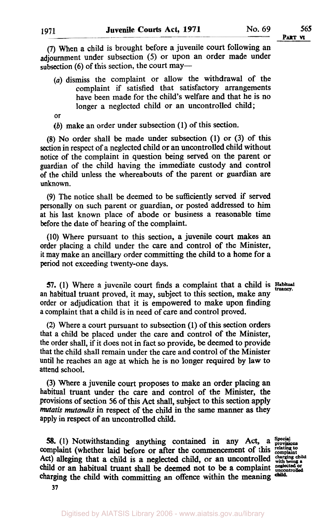*(7)* When a child is brought before a juvenile court following an adjournment under subsection (5) or upon an order made under subsection (6) of this section, the court may-

- *(a)* dismiss the complaint or allow the withdrawal of the complaint if satisfied that satisfactory arrangements have been made for the child's welfare and that he is **no**  longer a neglected child or an uncontrolled child;
- or
- *(b)* make an order under subsection **(1)** of this section.

**(8) No** order shall be made under subsection **(1)** or (3) of this section in respect of a neglected child or an uncontrolled child without notice of the complaint in question being served on the parent or guardian of the child having the immediate custody and control of the child unless the whereabouts of the parent or guardian are unknown.

(9) The notice shall be deemed to be sufficiently served if served personally on such parent or guardian, or posted addressed to him at his last known place of abode or business a reasonable time before the date of hearing of the complaint.

(10) Where pursuant to this section, a juvenile **court** makes an order placing a child under the care and control of the Minister, it may make an ancillary order committing the child to a home for a period not exceeding twenty-one days.

**57.** (1) Where a juvenile court finds a complaint that a child is Habitual an habitual truant proved, it may, subject to this section, make any order or adjudication that it is empowered to make upon finding **a** complaint that a child is in need of care and control proved.

(2) Where a court pursuant to subsection **(1)** of **this** section orders that a child be placed under the care and control of the Minister, the order shall, if it does not in fact so provide, be deemed to provide that the child shall remain under the care and control of the Minister until he reaches an age at which he is **no** longer required **by** law to attend school.

(3) Where a juvenile court proposes to make an order placing an habitual truant under the care and control of the Minister, the provisions of section *56* of this **Act** shall, subject to **this** section apply mutatis *mutandis* in respect of the child in the same manner **as** they apply in respect of an uncontrolled child.

**58.** (1) Notwithstanding anything contained in any Act, a Special complaint (whether laid before or after the commencement of this complaint Act) alleging that a child is a neglected child, or an uncontrolled with being child or an habitual truant shall be deemed not to be a complaint neglected or charging the child **with** committing an offence within the meaning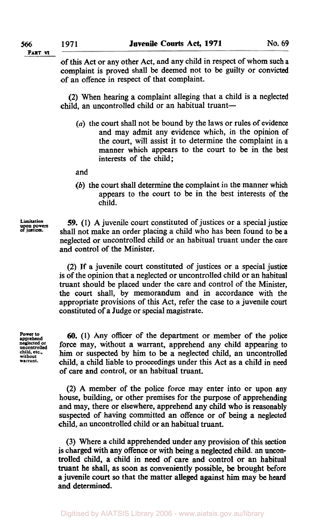of **this** Act or any other Act, and any child in respect of whom such a complaint is proved shall be deemed not to be guilty or convicted of an offence in respect of that complaint.

(2) When hearing a complaint alleging that a child is a neglected child, an uncontrolled child or an habitual truant-

 $(a)$  the court shall not be bound by the laws or rules of evidence and may admit any evidence which, in the opinion of the court, will assist it to determine the complaint in **a**  manner which appears to the court to be in the best interests of the child;

and

*(b)* the court shall determine the complaint in the manner which appears to the court to be in the best interests of the child.

**Limitation upon powers of** justices.

*59.* **(1)** A juvenile court constituted of justices or a special justice shall not make an order placing a child who has been found to be **a**  neglected or uncontrolled child or an habitual truant under the care and control of the Minister.

(2) If a juvenile court constituted of justices or a special justice is of the opinion that a neglected or uncontrolled child or an habitual truant should be placed under the care and control of the Minister, the court shall, by memorandum and in accordance with the appropriate provisions of this Act, refer the case to a juvenile court constituted of a Judge or special magistrate.

**Power to apprehend neglected or uncontrolled child, etc., without warrant.** 

*60.* **(1)** Any officer of the department or member of the police force may, without a warrant, apprehend any child appearing to him or suspected by him to be a neglected child, an uncontrolled child, a child liable to proceedings under this Act as a child in need of care and control, or an habitual truant.

(2) A member of the police force may enter into or upon any house, building, or other premises for the purpose of apprehending and may, there or elsewhere, apprehend any child who is reasonably suspected of having committed an offence or of being a neglected child, an uncontrolled child or an habitual truant.

(3) Where a child apprehended under any provision of this section is charged with any offence or with being a neglected child. an **uncon**trolled child, **a** child in need of care and control or an habitual truant he shall, as soon as conveniently possible, be brought before **a** juvenile court **so** that the matter alleged against **him** may be heard and determined.